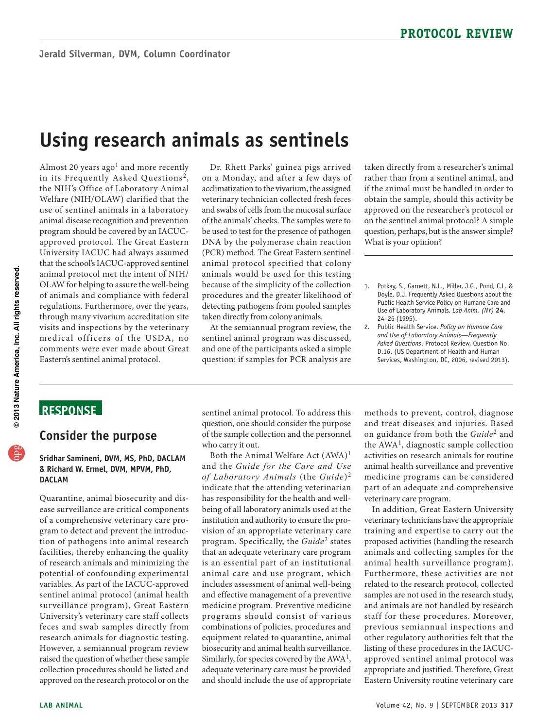# **Using research animals as sentinels**

Almost 20 years ago<sup>1</sup> and more recently use of sentinel animals in a laboratory animal disease recognition and prevention visits and inspections by the veterinary in its Frequently Asked Questions<sup>2</sup>, the NIH's Office of Laboratory Animal Welfare (NIH/OLAW) clarified that the program should be covered by an IACUCapproved protocol. The Great Eastern University IACUC had always assumed that the school's IACUC-approved sentinel animal protocol met the intent of NIH/ OLAW for helping to assure the well-being of animals and compliance with federal regulations. Furthermore, over the years, through many vivarium accreditation site medical officers of the USDA, no comments were ever made about Great Eastern's sentinel animal protocol.

 and swabs of cells from the mucosal surface be used to test for the presence of pathogen animal protocol specified that colony Dr. Rhett Parks' guinea pigs arrived on a Monday, and after a few days of acclimatization to the vivarium, the assigned veterinary technician collected fresh feces of the animals' cheeks. The samples were to DNA by the polymerase chain reaction (PCR) method. The Great Eastern sentinel animals would be used for this testing because of the simplicity of the collection procedures and the greater likelihood of detecting pathogens from pooled samples taken directly from colony animals.

At the semiannual program review, the sentinel animal program was discussed, and one of the participants asked a simple question: if samples for PCR analysis are

taken directly from a researcher's animal rather than from a sentinel animal, and if the animal must be handled in order to obtain the sample, should this activity be approved on the researcher's protocol or on the sentinel animal protocol? A simple question, perhaps, but is the answer simple? What is your opinion?

- 1. Potkay, S., Garnett, N.L., Miller, J.G., Pond, C.L. & Doyle, D.J. Frequently Asked Questions about the Public Health Service Policy on Humane Care and Use of Laboratory Animals. *Lab Anim. (NY)* **24**, 24–26 (1995).
- 2. Public Health Service. *Policy on Humane Care and Use of Laboratory Animals—Frequently Asked Questions*. Protocol Review, Question No. D.16. (US Department of Health and Human Services, Washington, DC, 2006, revised 2013).

### **ReSponSe**

#### **Consider the purpose**

#### **Sridhar Samineni, DVM, MS, phD, DACLAM & Richard W. ermel, DVM, MpVM, phD, DACLAM**

 facilities, thereby enhancing the quality sentinel animal protocol (animal health University's veterinary care staff collects research animals for diagnostic testing. Quarantine, animal biosecurity and disease surveillance are critical components of a comprehensive veterinary care program to detect and prevent the introduction of pathogens into animal research of research animals and minimizing the potential of confounding experimental variables. As part of the IACUC-approved surveillance program), Great Eastern feces and swab samples directly from However, a semiannual program review raised the question of whether these sample collection procedures should be listed and approved on the research protocol or on the

sentinel animal protocol. To address this question, one should consider the purpose of the sample collection and the personnel who carry it out.

indicate that the attending veterinarian and effective management of a preventive medicine program. Preventive medicine biosecurity and animal health surveillance. and should include the use of appropriate Both the Animal Welfare Act  $(AWA)^1$ and the *Guide for the Care and Use of Laboratory Animals* (the *Guide*)<sup>2</sup> has responsibility for the health and wellbeing of all laboratory animals used at the institution and authority to ensure the provision of an appropriate veterinary care program. Specifically, the *Guide*<sup>2</sup> states that an adequate veterinary care program is an essential part of an institutional animal care and use program, which includes assessment of animal well-being programs should consist of various combinations of policies, procedures and equipment related to quarantine, animal Similarly, for species covered by the AWA<sup>1</sup>, adequate veterinary care must be provided

 animal health sur veillance and preventive methods to prevent, control, diagnose and treat diseases and injuries. Based on guidance from both the *Guide*<sup>2</sup> and the  $AWA<sup>1</sup>$ , diagnostic sample collection activities on research animals for routine medicine programs can be considered part of an adequate and comprehensive veterinary care program.

 veterinary technicians have the appropriate other regulatory authorities felt that the In addition, Great Eastern University training and expertise to carry out the proposed activities (handling the research animals and collecting samples for the animal health surveillance program). Furthermore, these activities are not related to the research protocol, collected samples are not used in the research study, and animals are not handled by research staff for these procedures. Moreover, previous semiannual inspections and listing of these procedures in the IACUCapproved sentinel animal protocol was appropriate and justified. Therefore, Great Eastern University routine veterinary care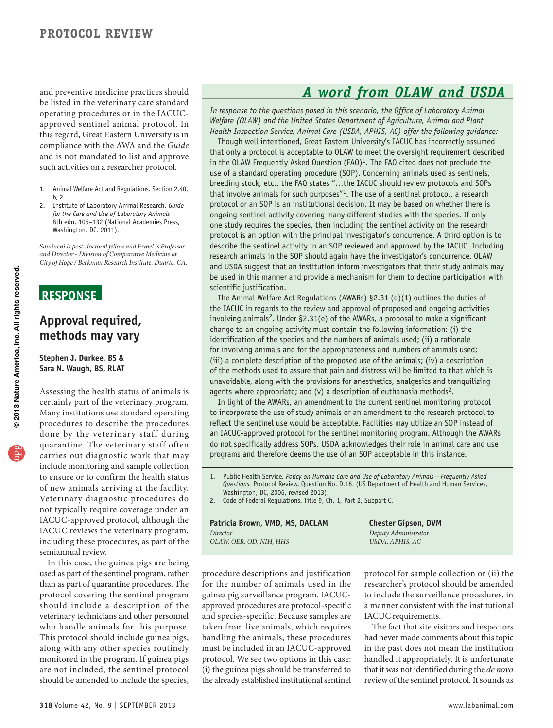compliance with the AWA and the *Guide*  operating procedures or in the IACUCapproved sentinel animal protocol. In this regard, Great Eastern University is in and is not mandated to list and approve such activities on a researcher protocol.

- 1. Animal Welfare Act and Regulations. Section 2.40, b, 2.
- 2. Institute of Laboratory Animal Research. *Guide for the Care and Use of Laboratory Animals*  8th edn. 105–132 (National Academies Press, Washington, DC, 2011).

*Samineni is post-doctoral fellow and Ermel is Professor and Director - Division of Comparative Medicine at City of Hope / Beckman Research Institute, Duarte, CA.* 

#### **ReSponSe**

#### **Approval required, methods may vary**

**Stephen J. Durkee, BS & Sara n. Waugh, BS, RLAT** 

certainly part of the veterinary program. Many institutions use standard operating carries out diagnostic work that may include monitoring and sample collection to ensure or to confirm the health status of new animals arriving at the facility. Assessing the health status of animals is procedures to describe the procedures done by the veterinary staff during quarantine. The veterinary staff often Veterinary diagnostic procedures do not typically require coverage under an IACUC-approved protocol, although the IACUC reviews the veterinary program, including these procedures, as part of the semiannual review.

 used as part of the sentinel program, rather veterinary technicians and other personnel should be amended to include the species, In this case, the guinea pigs are being than as part of quarantine procedures. The protocol covering the sentinel program should include a description of the who handle animals for this purpose. This protocol should include guinea pigs, along with any other species routinely monitored in the program. If guinea pigs are not included, the sentinel protocol

## and preventive medicine practices should<br> **A** word from OLAW and USDA be listed in the veterinary care standard

*In response to the questions posed in this scenario, the Office of Laboratory Animal Welfare (OLAW) and the United States Department of Agriculture, Animal and Plant Health Inspection Service, Animal Care (USDA, APHIS, AC) offer the following guidance:* 

Though well intentioned, Great Eastern University's IACUC has incorrectly assumed that only a protocol is acceptable to OLAW to meet the oversight requirement described in the OLAW Frequently Asked Question  $(FAQ)^1$ . The FAQ cited does not preclude the use of a standard operating procedure (SOP). Concerning animals used as sentinels, breeding stock, etc., the FAQ states "…the IACUC should review protocols and SOPs that involve animals for such purposes"<sup>1</sup>. The use of a sentinel protocol, a research protocol or an SOP is an institutional decision. It may be based on whether there is ongoing sentinel activity covering many different studies with the species. If only one study requires the species, then including the sentinel activity on the research protocol is an option with the principal investigator's concurrence. A third option is to describe the sentinel activity in an SOP reviewed and approved by the IACUC. Including research animals in the SOP should again have the investigator's concurrence. OLAW and USDA suggest that an institution inform investigators that their study animals may be used in this manner and provide a mechanism for them to decline participation with scientific justification.

The Animal Welfare Act Regulations (AWARs) §2.31 (d)(1) outlines the duties of the IACUC in regards to the review and approval of proposed and ongoing activities involving animals<sup>2</sup>. Under §2.31(e) of the AWARs, a proposal to make a significant change to an ongoing activity must contain the following information: (i) the identification of the species and the numbers of animals used; (ii) a rationale for involving animals and for the appropriateness and numbers of animals used; (iii) a complete description of the proposed use of the animals; (iv) a description of the methods used to assure that pain and distress will be limited to that which is unavoidable, along with the provisions for anesthetics, analgesics and tranquilizing agents where appropriate; and (v) a description of euthanasia methods<sup>2</sup>.

In light of the AWARs, an amendment to the current sentinel monitoring protocol to incorporate the use of study animals or an amendment to the research protocol to reflect the sentinel use would be acceptable. Facilities may utilize an SOP instead of an IACUC-approved protocol for the sentinel monitoring program. Although the AWARs do not specifically address SOPs, USDA acknowledges their role in animal care and use programs and therefore deems the use of an SOP acceptable in this instance.

- 1. Public Health Service. *Policy on Humane Care and Use of Laboratory Animals—Frequently Asked Questions.* Protocol Review, Question No. D.16. (US Department of Health and Human Services, Washington, DC, 2006, revised 2013).
- 2. Code of Federal Regulations. Title 9, Ch. 1, Part 2, Subpart C.

Patricia Brown, VMD, MS, DACLAM **Chester Gipson, DVM** *Director Deputy Administrator OLAW, OER, OD, NIH, HHS* 

the already established institutional sentinel and species-specific. Because samples are IACUC requirements. taken from live animals, which requires The fact that site visitors and inspectors handling the animals, these procedures had never made comments about this topic must be included in an IACUC-approved in the past does not mean the institution protocol. We see two options in this case: handled it appropriately. It is unfortunate (i) the guinea pigs should be transferred to that it was not identified during the *de novo* 

procedure descriptions and justification protocol for sample collection or (ii) the for the number of animals used in the researcher's protocol should be amended guinea pig surveillance program. IACUC- to include the surveillance procedures, in approved procedures are protocol-specific a manner consistent with the institutional

review of the sentinel protocol. It sounds as